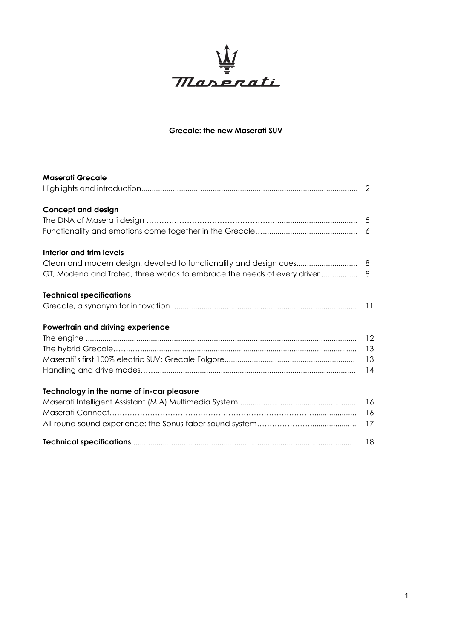

# **Grecale: the new Maserati SUV**

| <b>Maserati Grecale</b>                                                     | 2              |
|-----------------------------------------------------------------------------|----------------|
|                                                                             |                |
| <b>Concept and design</b>                                                   |                |
|                                                                             |                |
|                                                                             |                |
| Interior and trim levels                                                    |                |
|                                                                             |                |
| GT, Modena and Trofeo, three worlds to embrace the needs of every driver  8 |                |
| <b>Technical specifications</b>                                             |                |
|                                                                             |                |
| Powertrain and driving experience                                           |                |
|                                                                             | $\frac{12}{2}$ |
|                                                                             |                |
|                                                                             | 13             |
|                                                                             | 14             |
| Technology in the name of in-car pleasure                                   |                |
|                                                                             | 16             |
|                                                                             | 16             |
|                                                                             | 17             |
|                                                                             | 18             |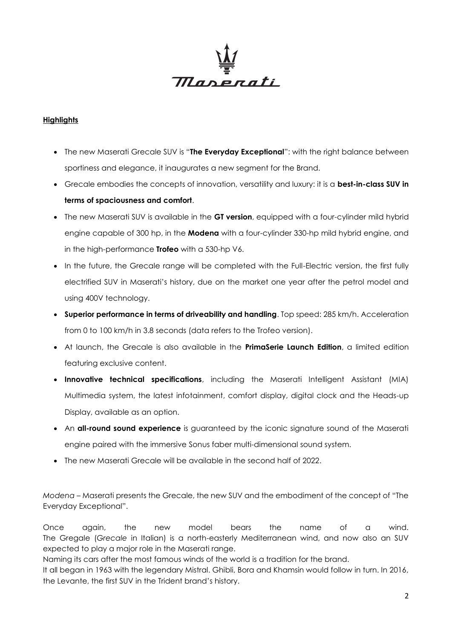

### **Highlights**

- The new Maserati Grecale SUV is "**The Everyday Exceptional**": with the right balance between sportiness and elegance, it inaugurates a new segment for the Brand.
- Grecale embodies the concepts of innovation, versatility and luxury: it is a **best-in-class SUV in terms of spaciousness and comfort**.
- The new Maserati SUV is available in the **GT version**, equipped with a four-cylinder mild hybrid engine capable of 300 hp, in the **Modena** with a four-cylinder 330-hp mild hybrid engine, and in the high-performance **Trofeo** with a 530-hp V6.
- In the future, the Grecale range will be completed with the Full-Electric version, the first fully electrified SUV in Maserati's history, due on the market one year after the petrol model and using 400V technology.
- **Superior performance in terms of driveability and handling**. Top speed: 285 km/h. Acceleration from 0 to 100 km/h in 3.8 seconds (data refers to the Trofeo version).
- At launch, the Grecale is also available in the **PrimaSerie Launch Edition**, a limited edition featuring exclusive content.
- **Innovative technical specifications**, including the Maserati Intelligent Assistant (MIA) Multimedia system, the latest infotainment, comfort display, digital clock and the Heads-up Display, available as an option.
- An **all-round sound experience** is guaranteed by the iconic signature sound of the Maserati engine paired with the immersive Sonus faber multi-dimensional sound system.
- The new Maserati Grecale will be available in the second half of 2022.

*Modena* – Maserati presents the Grecale, the new SUV and the embodiment of the concept of "The Everyday Exceptional".

Once again, the new model bears the name of a wind. The Gregale (*Grecale* in Italian) is a north-easterly Mediterranean wind, and now also an SUV expected to play a major role in the Maserati range.

Naming its cars after the most famous winds of the world is a tradition for the brand.

It all began in 1963 with the legendary Mistral. Ghibli, Bora and Khamsin would follow in turn. In 2016, the Levante, the first SUV in the Trident brand's history.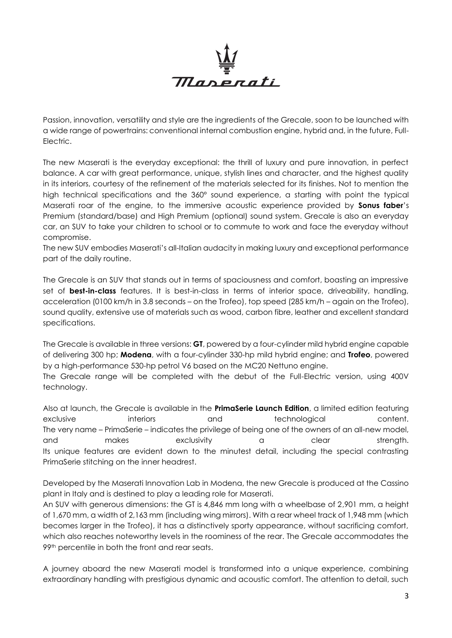

Passion, innovation, versatility and style are the ingredients of the Grecale, soon to be launched with a wide range of powertrains: conventional internal combustion engine, hybrid and, in the future, Full-Electric.

The new Maserati is the everyday exceptional: the thrill of luxury and pure innovation, in perfect balance. A car with great performance, unique, stylish lines and character, and the highest quality in its interiors, courtesy of the refinement of the materials selected for its finishes. Not to mention the high technical specifications and the 360° sound experience, a starting with point the typical Maserati roar of the engine, to the immersive acoustic experience provided by **Sonus faber**'s Premium (standard/base) and High Premium (optional) sound system. Grecale is also an everyday car, an SUV to take your children to school or to commute to work and face the everyday without compromise.

The new SUV embodies Maserati's all-Italian audacity in making luxury and exceptional performance part of the daily routine.

The Grecale is an SUV that stands out in terms of spaciousness and comfort, boasting an impressive set of **best-in-class** features. It is best-in-class in terms of interior space, driveability, handling, acceleration (0100 km/h in 3.8 seconds – on the Trofeo), top speed (285 km/h – again on the Trofeo), sound quality, extensive use of materials such as wood, carbon fibre, leather and excellent standard specifications.

The Grecale is available in three versions: **GT**, powered by a four-cylinder mild hybrid engine capable of delivering 300 hp; **Modena**, with a four-cylinder 330-hp mild hybrid engine; and **Trofeo**, powered by a high-performance 530-hp petrol V6 based on the MC20 Nettuno engine.

The Grecale range will be completed with the debut of the Full-Electric version, using 400V technology.

Also at launch, the Grecale is available in the **PrimaSerie Launch Edition**, a limited edition featuring exclusive interiors and technological content. The very name – PrimaSerie – indicates the privilege of being one of the owners of an all-new model, and makes exclusivity a clear strength. Its unique features are evident down to the minutest detail, including the special contrasting PrimaSerie stitching on the inner headrest.

Developed by the Maserati Innovation Lab in Modena, the new Grecale is produced at the Cassino plant in Italy and is destined to play a leading role for Maserati.

An SUV with generous dimensions: the GT is 4,846 mm long with a wheelbase of 2,901 mm, a height of 1,670 mm, a width of 2,163 mm (including wing mirrors). With a rear wheel track of 1,948 mm (which becomes larger in the Trofeo), it has a distinctively sporty appearance, without sacrificing comfort, which also reaches noteworthy levels in the roominess of the rear. The Grecale accommodates the 99<sup>th</sup> percentile in both the front and rear seats.

A journey aboard the new Maserati model is transformed into a unique experience, combining extraordinary handling with prestigious dynamic and acoustic comfort. The attention to detail, such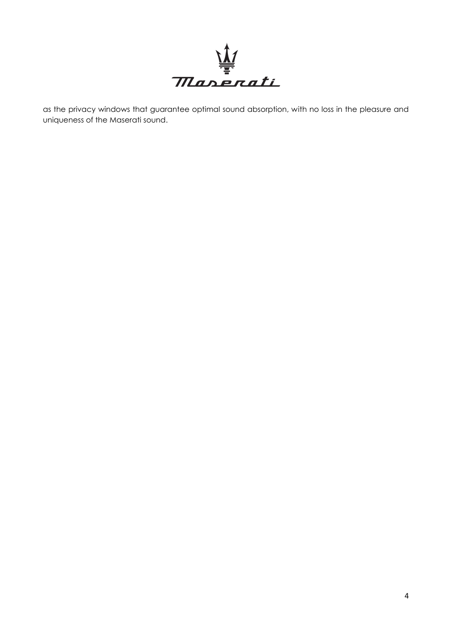

as the privacy windows that guarantee optimal sound absorption, with no loss in the pleasure and uniqueness of the Maserati sound.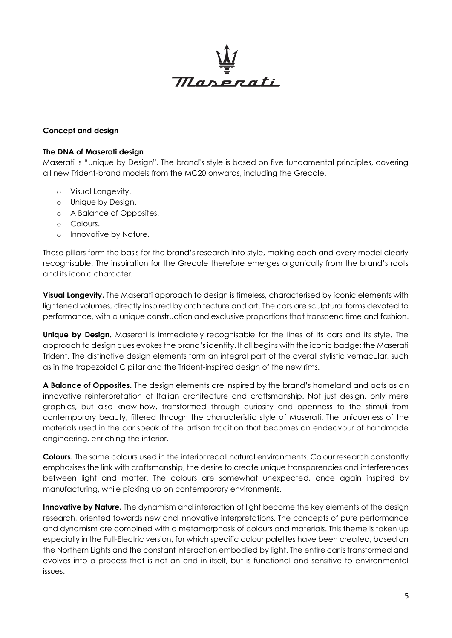

#### **Concept and design**

#### **The DNA of Maserati design**

Maserati is "Unique by Design". The brand's style is based on five fundamental principles, covering all new Trident-brand models from the MC20 onwards, including the Grecale.

- o Visual Longevity.
- o Unique by Design.
- o A Balance of Opposites.
- o Colours.
- o Innovative by Nature.

These pillars form the basis for the brand's research into style, making each and every model clearly recognisable. The inspiration for the Grecale therefore emerges organically from the brand's roots and its iconic character.

**Visual Longevity.** The Maserati approach to design is timeless, characterised by iconic elements with lightened volumes, directly inspired by architecture and art. The cars are sculptural forms devoted to performance, with a unique construction and exclusive proportions that transcend time and fashion.

**Unique by Design.** Maserati is immediately recognisable for the lines of its cars and its style. The approach to design cues evokes the brand's identity. It all begins with the iconic badge: the Maserati Trident. The distinctive design elements form an integral part of the overall stylistic vernacular, such as in the trapezoidal C pillar and the Trident-inspired design of the new rims.

**A Balance of Opposites.** The design elements are inspired by the brand's homeland and acts as an innovative reinterpretation of Italian architecture and craftsmanship. Not just design, only mere graphics, but also know-how, transformed through curiosity and openness to the stimuli from contemporary beauty, filtered through the characteristic style of Maserati. The uniqueness of the materials used in the car speak of the artisan tradition that becomes an endeavour of handmade engineering, enriching the interior.

**Colours.** The same colours used in the interior recall natural environments. Colour research constantly emphasises the link with craftsmanship, the desire to create unique transparencies and interferences between light and matter. The colours are somewhat unexpected, once again inspired by manufacturing, while picking up on contemporary environments.

**Innovative by Nature.** The dynamism and interaction of light become the key elements of the design research, oriented towards new and innovative interpretations. The concepts of pure performance and dynamism are combined with a metamorphosis of colours and materials. This theme is taken up especially in the Full-Electric version, for which specific colour palettes have been created, based on the Northern Lights and the constant interaction embodied by light. The entire car is transformed and evolves into a process that is not an end in itself, but is functional and sensitive to environmental issues.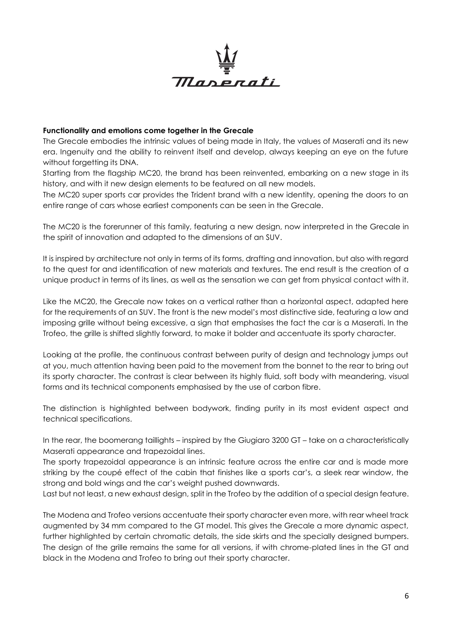

#### **Functionality and emotions come together in the Grecale**

The Grecale embodies the intrinsic values of being made in Italy, the values of Maserati and its new era. Ingenuity and the ability to reinvent itself and develop, always keeping an eye on the future without forgetting its DNA.

Starting from the flagship MC20, the brand has been reinvented, embarking on a new stage in its history, and with it new design elements to be featured on all new models.

The MC20 super sports car provides the Trident brand with a new identity, opening the doors to an entire range of cars whose earliest components can be seen in the Grecale.

The MC20 is the forerunner of this family, featuring a new design, now interpreted in the Grecale in the spirit of innovation and adapted to the dimensions of an SUV.

It is inspired by architecture not only in terms of its forms, drafting and innovation, but also with regard to the quest for and identification of new materials and textures. The end result is the creation of a unique product in terms of its lines, as well as the sensation we can get from physical contact with it.

Like the MC20, the Grecale now takes on a vertical rather than a horizontal aspect, adapted here for the requirements of an SUV. The front is the new model's most distinctive side, featuring a low and imposing grille without being excessive, a sign that emphasises the fact the car is a Maserati. In the Trofeo, the grille is shifted slightly forward, to make it bolder and accentuate its sporty character.

Looking at the profile, the continuous contrast between purity of design and technology jumps out at you, much attention having been paid to the movement from the bonnet to the rear to bring out its sporty character. The contrast is clear between its highly fluid, soft body with meandering, visual forms and its technical components emphasised by the use of carbon fibre.

The distinction is highlighted between bodywork, finding purity in its most evident aspect and technical specifications.

In the rear, the boomerang taillights – inspired by the Giugiaro 3200 GT – take on a characteristically Maserati appearance and trapezoidal lines.

The sporty trapezoidal appearance is an intrinsic feature across the entire car and is made more striking by the coupé effect of the cabin that finishes like a sports car's, a sleek rear window, the strong and bold wings and the car's weight pushed downwards.

Last but not least, a new exhaust design, split in the Trofeo by the addition of a special design feature.

The Modena and Trofeo versions accentuate their sporty character even more, with rear wheel track augmented by 34 mm compared to the GT model. This gives the Grecale a more dynamic aspect, further highlighted by certain chromatic details, the side skirts and the specially designed bumpers. The design of the grille remains the same for all versions, if with chrome-plated lines in the GT and black in the Modena and Trofeo to bring out their sporty character.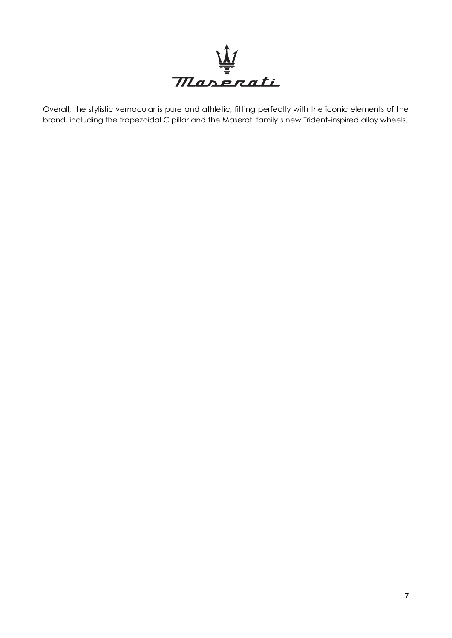

Overall, the stylistic vernacular is pure and athletic, fitting perfectly with the iconic elements of the brand, including the trapezoidal C pillar and the Maserati family's new Trident-inspired alloy wheels.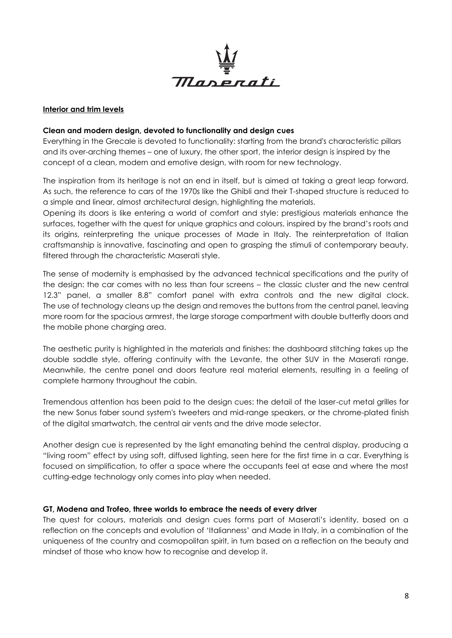

#### **Interior and trim levels**

#### **Clean and modern design, devoted to functionality and design cues**

Everything in the Grecale is devoted to functionality: starting from the brand's characteristic pillars and its over-arching themes – one of luxury, the other sport, the interior design is inspired by the concept of a clean, modern and emotive design, with room for new technology.

The inspiration from its heritage is not an end in itself, but is aimed at taking a great leap forward. As such, the reference to cars of the 1970s like the Ghibli and their T-shaped structure is reduced to a simple and linear, almost architectural design, highlighting the materials.

Opening its doors is like entering a world of comfort and style: prestigious materials enhance the surfaces, together with the quest for unique graphics and colours, inspired by the brand's roots and its origins, reinterpreting the unique processes of Made in Italy. The reinterpretation of Italian craftsmanship is innovative, fascinating and open to grasping the stimuli of contemporary beauty, filtered through the characteristic Maserati style.

The sense of modernity is emphasised by the advanced technical specifications and the purity of the design: the car comes with no less than four screens – the classic cluster and the new central 12.3" panel, a smaller 8.8" comfort panel with extra controls and the new digital clock. The use of technology cleans up the design and removes the buttons from the central panel, leaving more room for the spacious armrest, the large storage compartment with double butterfly doors and the mobile phone charging area.

The aesthetic purity is highlighted in the materials and finishes: the dashboard stitching takes up the double saddle style, offering continuity with the Levante, the other SUV in the Maserati range. Meanwhile, the centre panel and doors feature real material elements, resulting in a feeling of complete harmony throughout the cabin.

Tremendous attention has been paid to the design cues: the detail of the laser-cut metal grilles for the new Sonus faber sound system's tweeters and mid-range speakers, or the chrome-plated finish of the digital smartwatch, the central air vents and the drive mode selector.

Another design cue is represented by the light emanating behind the central display, producing a "living room" effect by using soft, diffused lighting, seen here for the first time in a car. Everything is focused on simplification, to offer a space where the occupants feel at ease and where the most cutting-edge technology only comes into play when needed.

#### **GT, Modena and Trofeo, three worlds to embrace the needs of every driver**

The quest for colours, materials and design cues forms part of Maserati's identity, based on a reflection on the concepts and evolution of 'Italianness' and Made in Italy, in a combination of the uniqueness of the country and cosmopolitan spirit, in turn based on a reflection on the beauty and mindset of those who know how to recognise and develop it.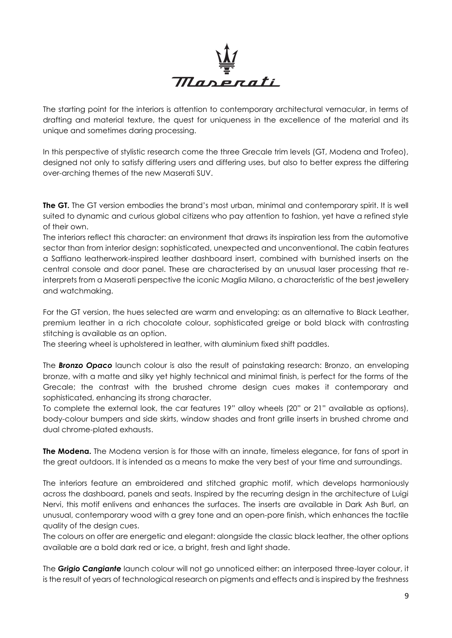

The starting point for the interiors is attention to contemporary architectural vernacular, in terms of drafting and material texture, the quest for uniqueness in the excellence of the material and its unique and sometimes daring processing.

In this perspective of stylistic research come the three Grecale trim levels (GT, Modena and Trofeo), designed not only to satisfy differing users and differing uses, but also to better express the differing over-arching themes of the new Maserati SUV.

**The GT.** The GT version embodies the brand's most urban, minimal and contemporary spirit. It is well suited to dynamic and curious global citizens who pay attention to fashion, yet have a refined style of their own.

The interiors reflect this character: an environment that draws its inspiration less from the automotive sector than from interior design: sophisticated, unexpected and unconventional. The cabin features a Saffiano leatherwork-inspired leather dashboard insert, combined with burnished inserts on the central console and door panel. These are characterised by an unusual laser processing that reinterprets from a Maserati perspective the iconic Maglia Milano, a characteristic of the best jewellery and watchmaking.

For the GT version, the hues selected are warm and enveloping: as an alternative to Black Leather, premium leather in a rich chocolate colour, sophisticated greige or bold black with contrasting stitching is available as an option.

The steering wheel is upholstered in leather, with aluminium fixed shift paddles.

The *Bronzo Opaco* launch colour is also the result of painstaking research: Bronzo, an enveloping bronze, with a matte and silky yet highly technical and minimal finish, is perfect for the forms of the Grecale; the contrast with the brushed chrome design cues makes it contemporary and sophisticated, enhancing its strong character.

To complete the external look, the car features 19" alloy wheels (20" or 21" available as options), body-colour bumpers and side skirts, window shades and front grille inserts in brushed chrome and dual chrome-plated exhausts.

**The Modena.** The Modena version is for those with an innate, timeless elegance, for fans of sport in the great outdoors. It is intended as a means to make the very best of your time and surroundings.

The interiors feature an embroidered and stitched graphic motif, which develops harmoniously across the dashboard, panels and seats. Inspired by the recurring design in the architecture of Luigi Nervi, this motif enlivens and enhances the surfaces. The inserts are available in Dark Ash Burl, an unusual, contemporary wood with a grey tone and an open-pore finish, which enhances the tactile quality of the design cues.

The colours on offer are energetic and elegant: alongside the classic black leather, the other options available are a bold dark red or ice, a bright, fresh and light shade.

The *Grigio Cangiante* launch colour will not go unnoticed either: an interposed three-layer colour, it is the result of years of technological research on pigments and effects and is inspired by the freshness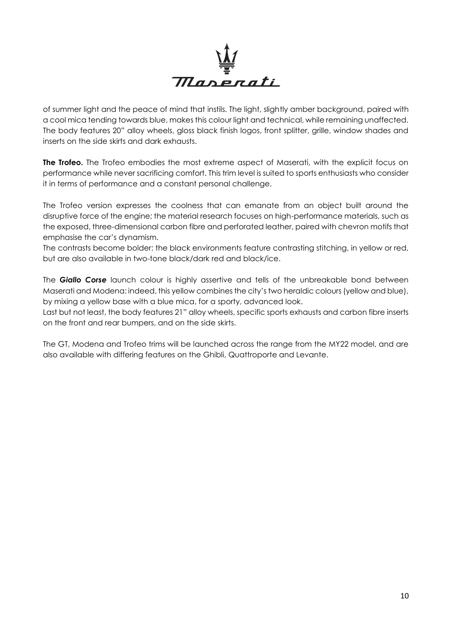

of summer light and the peace of mind that instils. The light, slightly amber background, paired with a cool mica tending towards blue, makes this colour light and technical, while remaining unaffected. The body features 20" alloy wheels, gloss black finish logos, front splitter, grille, window shades and inserts on the side skirts and dark exhausts.

**The Trofeo.** The Trofeo embodies the most extreme aspect of Maserati, with the explicit focus on performance while never sacrificing comfort. This trim level is suited to sports enthusiasts who consider it in terms of performance and a constant personal challenge.

The Trofeo version expresses the coolness that can emanate from an object built around the disruptive force of the engine; the material research focuses on high-performance materials, such as the exposed, three-dimensional carbon fibre and perforated leather, paired with chevron motifs that emphasise the car's dynamism.

The contrasts become bolder: the black environments feature contrasting stitching, in yellow or red, but are also available in two-tone black/dark red and black/ice.

The *Giallo Corse* launch colour is highly assertive and tells of the unbreakable bond between Maserati and Modena: indeed, this yellow combines the city's two heraldic colours (yellow and blue), by mixing a yellow base with a blue mica, for a sporty, advanced look.

Last but not least, the body features 21" alloy wheels, specific sports exhausts and carbon fibre inserts on the front and rear bumpers, and on the side skirts.

The GT, Modena and Trofeo trims will be launched across the range from the MY22 model, and are also available with differing features on the Ghibli, Quattroporte and Levante.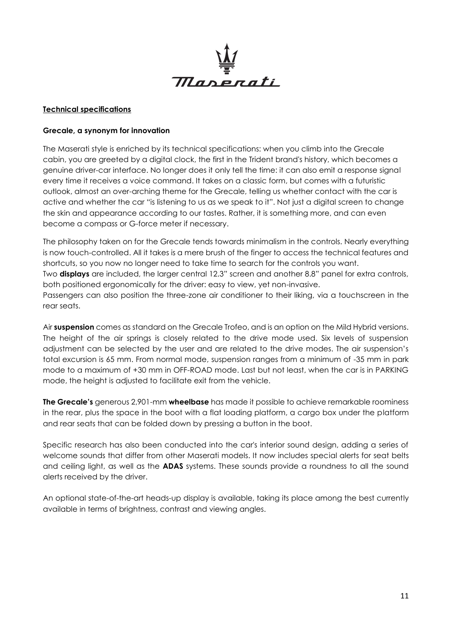

#### **Technical specifications**

#### **Grecale, a synonym for innovation**

The Maserati style is enriched by its technical specifications: when you climb into the Grecale cabin, you are greeted by a digital clock, the first in the Trident brand's history, which becomes a genuine driver-car interface. No longer does it only tell the time: it can also emit a response signal every time it receives a voice command. It takes on a classic form, but comes with a futuristic outlook, almost an over-arching theme for the Grecale, telling us whether contact with the car is active and whether the car "is listening to us as we speak to it". Not just a digital screen to change the skin and appearance according to our tastes. Rather, it is something more, and can even become a compass or G-force meter if necessary.

The philosophy taken on for the Grecale tends towards minimalism in the controls. Nearly everything is now touch-controlled. All it takes is a mere brush of the finger to access the technical features and shortcuts, so you now no longer need to take time to search for the controls you want. Two **displays** are included, the larger central 12.3" screen and another 8.8" panel for extra controls, both positioned ergonomically for the driver: easy to view, yet non-invasive. Passengers can also position the three-zone air conditioner to their liking, via a touchscreen in the

rear seats.

Air **suspension** comes as standard on the Grecale Trofeo, and is an option on the Mild Hybrid versions. The height of the air springs is closely related to the drive mode used. Six levels of suspension adjustment can be selected by the user and are related to the drive modes. The air suspension's total excursion is 65 mm. From normal mode, suspension ranges from a minimum of -35 mm in park mode to a maximum of +30 mm in OFF-ROAD mode. Last but not least, when the car is in PARKING mode, the height is adjusted to facilitate exit from the vehicle.

**The Grecale's** generous 2,901-mm **wheelbase** has made it possible to achieve remarkable roominess in the rear, plus the space in the boot with a flat loading platform, a cargo box under the platform and rear seats that can be folded down by pressing a button in the boot.

Specific research has also been conducted into the car's interior sound design, adding a series of welcome sounds that differ from other Maserati models. It now includes special alerts for seat belts and ceiling light, as well as the **ADAS** systems. These sounds provide a roundness to all the sound alerts received by the driver.

An optional state-of-the-art heads-up display is available, taking its place among the best currently available in terms of brightness, contrast and viewing angles.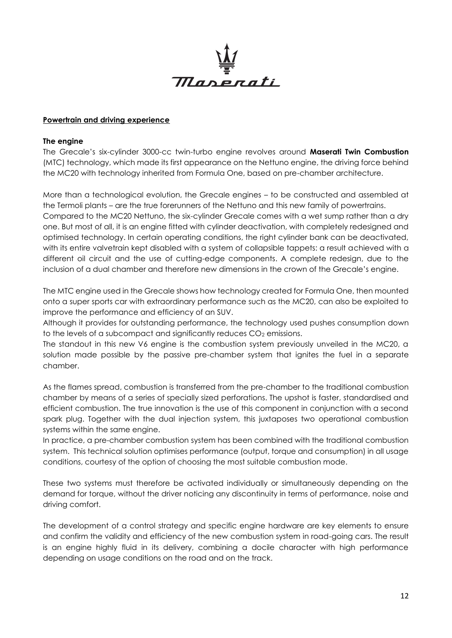

#### **Powertrain and driving experience**

#### **The engine**

The Grecale's six-cylinder 3000-cc twin-turbo engine revolves around **Maserati Twin Combustion** (MTC) technology, which made its first appearance on the Nettuno engine, the driving force behind the MC20 with technology inherited from Formula One, based on pre-chamber architecture.

More than a technological evolution, the Grecale engines – to be constructed and assembled at the Termoli plants – are the true forerunners of the Nettuno and this new family of powertrains. Compared to the MC20 Nettuno, the six-cylinder Grecale comes with a wet sump rather than a dry one. But most of all, it is an engine fitted with cylinder deactivation, with completely redesigned and optimised technology. In certain operating conditions, the right cylinder bank can be deactivated, with its entire valvetrain kept disabled with a system of collapsible tappets: a result achieved with a different oil circuit and the use of cutting-edge components. A complete redesign, due to the inclusion of a dual chamber and therefore new dimensions in the crown of the Grecale's engine.

The MTC engine used in the Grecale shows how technology created for Formula One, then mounted onto a super sports car with extraordinary performance such as the MC20, can also be exploited to improve the performance and efficiency of an SUV.

Although it provides for outstanding performance, the technology used pushes consumption down to the levels of a subcompact and significantly reduces  $CO<sub>2</sub>$  emissions.

The standout in this new V6 engine is the combustion system previously unveiled in the MC20, a solution made possible by the passive pre-chamber system that ignites the fuel in a separate chamber.

As the flames spread, combustion is transferred from the pre-chamber to the traditional combustion chamber by means of a series of specially sized perforations. The upshot is faster, standardised and efficient combustion. The true innovation is the use of this component in conjunction with a second spark plug. Together with the dual injection system, this juxtaposes two operational combustion systems within the same engine.

In practice, a pre-chamber combustion system has been combined with the traditional combustion system. This technical solution optimises performance (output, torque and consumption) in all usage conditions, courtesy of the option of choosing the most suitable combustion mode.

These two systems must therefore be activated individually or simultaneously depending on the demand for torque, without the driver noticing any discontinuity in terms of performance, noise and driving comfort.

The development of a control strategy and specific engine hardware are key elements to ensure and confirm the validity and efficiency of the new combustion system in road-going cars. The result is an engine highly fluid in its delivery, combining a docile character with high performance depending on usage conditions on the road and on the track.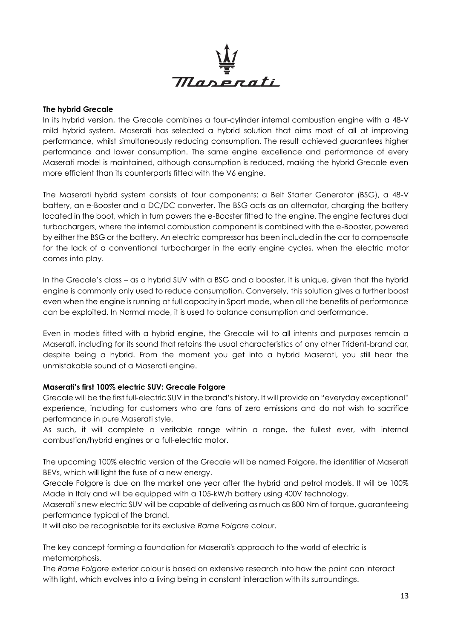

#### **The hybrid Grecale**

In its hybrid version, the Grecale combines a four-cylinder internal combustion engine with a 48-V mild hybrid system. Maserati has selected a hybrid solution that aims most of all at improving performance, whilst simultaneously reducing consumption. The result achieved guarantees higher performance and lower consumption. The same engine excellence and performance of every Maserati model is maintained, although consumption is reduced, making the hybrid Grecale even more efficient than its counterparts fitted with the V6 engine.

The Maserati hybrid system consists of four components: a Belt Starter Generator (BSG), a 48-V battery, an e-Booster and a DC/DC converter. The BSG acts as an alternator, charging the battery located in the boot, which in turn powers the e-Booster fitted to the engine. The engine features dual turbochargers, where the internal combustion component is combined with the e-Booster, powered by either the BSG or the battery. An electric compressor has been included in the car to compensate for the lack of a conventional turbocharger in the early engine cycles, when the electric motor comes into play.

In the Grecale's class – as a hybrid SUV with a BSG and a booster, it is unique, given that the hybrid engine is commonly only used to reduce consumption. Conversely, this solution gives a further boost even when the engine is running at full capacity in Sport mode, when all the benefits of performance can be exploited. In Normal mode, it is used to balance consumption and performance.

Even in models fitted with a hybrid engine, the Grecale will to all intents and purposes remain a Maserati, including for its sound that retains the usual characteristics of any other Trident-brand car, despite being a hybrid. From the moment you get into a hybrid Maserati, you still hear the unmistakable sound of a Maserati engine.

## **Maserati's first 100% electric SUV: Grecale Folgore**

Grecale will be the first full-electric SUV in the brand's history. It will provide an "everyday exceptional" experience, including for customers who are fans of zero emissions and do not wish to sacrifice performance in pure Maserati style.

As such, it will complete a veritable range within a range, the fullest ever, with internal combustion/hybrid engines or a full-electric motor.

The upcoming 100% electric version of the Grecale will be named Folgore, the identifier of Maserati BEVs, which will light the fuse of a new energy.

Grecale Folgore is due on the market one year after the hybrid and petrol models. It will be 100% Made in Italy and will be equipped with a 105-kW/h battery using 400V technology.

Maserati's new electric SUV will be capable of delivering as much as 800 Nm of torque, guaranteeing performance typical of the brand.

It will also be recognisable for its exclusive *Rame Folgore* colour.

The key concept forming a foundation for Maserati's approach to the world of electric is metamorphosis.

The *Rame Folgore* exterior colour is based on extensive research into how the paint can interact with light, which evolves into a living being in constant interaction with its surroundings.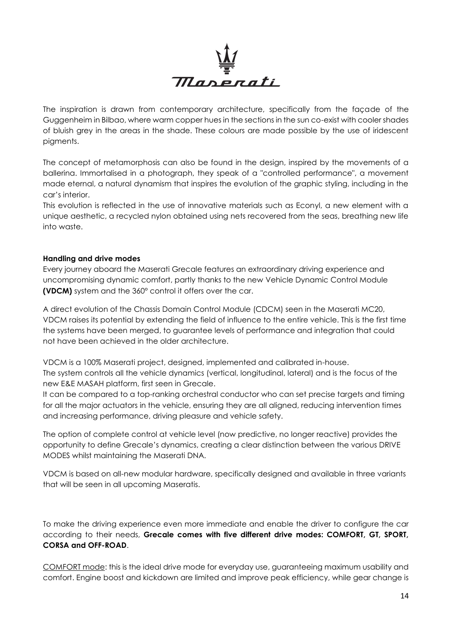

The inspiration is drawn from contemporary architecture, specifically from the façade of the Guggenheim in Bilbao, where warm copper hues in the sections in the sun co-exist with cooler shades of bluish grey in the areas in the shade. These colours are made possible by the use of iridescent pigments.

The concept of metamorphosis can also be found in the design, inspired by the movements of a ballerina. Immortalised in a photograph, they speak of a "controlled performance", a movement made eternal, a natural dynamism that inspires the evolution of the graphic styling, including in the car's interior.

This evolution is reflected in the use of innovative materials such as Econyl, a new element with a unique aesthetic, a recycled nylon obtained using nets recovered from the seas, breathing new life into waste.

#### **Handling and drive modes**

Every journey aboard the Maserati Grecale features an extraordinary driving experience and uncompromising dynamic comfort, partly thanks to the new Vehicle Dynamic Control Module **(VDCM)** system and the 360° control it offers over the car.

A direct evolution of the Chassis Domain Control Module (CDCM) seen in the Maserati MC20, VDCM raises its potential by extending the field of influence to the entire vehicle. This is the first time the systems have been merged, to guarantee levels of performance and integration that could not have been achieved in the older architecture.

VDCM is a 100% Maserati project, designed, implemented and calibrated in-house. The system controls all the vehicle dynamics (vertical, longitudinal, lateral) and is the focus of the new E&E MASAH platform, first seen in Grecale.

It can be compared to a top-ranking orchestral conductor who can set precise targets and timing for all the major actuators in the vehicle, ensuring they are all aligned, reducing intervention times and increasing performance, driving pleasure and vehicle safety.

The option of complete control at vehicle level (now predictive, no longer reactive) provides the opportunity to define Grecale's dynamics, creating a clear distinction between the various DRIVE MODES whilst maintaining the Maserati DNA.

VDCM is based on all-new modular hardware, specifically designed and available in three variants that will be seen in all upcoming Maseratis.

To make the driving experience even more immediate and enable the driver to configure the car according to their needs, **Grecale comes with five different drive modes: COMFORT, GT, SPORT, CORSA and OFF-ROAD**.

COMFORT mode: this is the ideal drive mode for everyday use, guaranteeing maximum usability and comfort. Engine boost and kickdown are limited and improve peak efficiency, while gear change is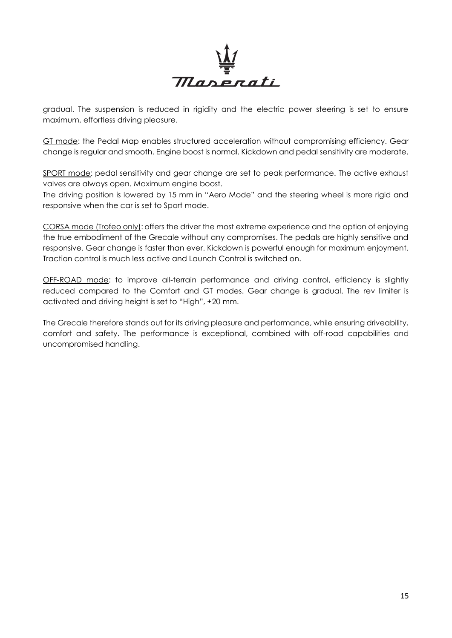

gradual. The suspension is reduced in rigidity and the electric power steering is set to ensure maximum, effortless driving pleasure.

GT mode: the Pedal Map enables structured acceleration without compromising efficiency. Gear change is regular and smooth. Engine boost is normal. Kickdown and pedal sensitivity are moderate.

SPORT mode: pedal sensitivity and gear change are set to peak performance. The active exhaust valves are always open. Maximum engine boost.

The driving position is lowered by 15 mm in "Aero Mode" and the steering wheel is more rigid and responsive when the car is set to Sport mode.

CORSA mode (Trofeo only): offers the driver the most extreme experience and the option of enjoying the true embodiment of the Grecale without any compromises. The pedals are highly sensitive and responsive. Gear change is faster than ever. Kickdown is powerful enough for maximum enjoyment. Traction control is much less active and Launch Control is switched on.

OFF-ROAD mode: to improve all-terrain performance and driving control, efficiency is slightly reduced compared to the Comfort and GT modes. Gear change is gradual. The rev limiter is activated and driving height is set to "High", +20 mm.

The Grecale therefore stands out for its driving pleasure and performance, while ensuring driveability, comfort and safety. The performance is exceptional, combined with off-road capabilities and uncompromised handling.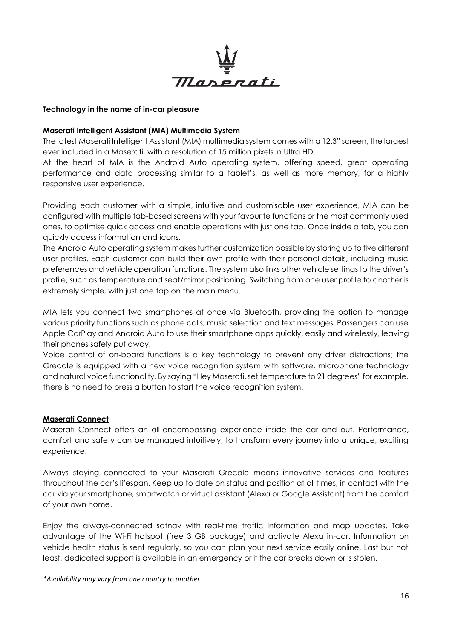

#### **Technology in the name of in-car pleasure**

#### **Maserati Intelligent Assistant (MIA) Multimedia System**

The latest Maserati Intelligent Assistant (MIA) multimedia system comes with a 12.3" screen, the largest ever included in a Maserati, with a resolution of 15 million pixels in Ultra HD.

At the heart of MIA is the Android Auto operating system, offering speed, great operating performance and data processing similar to a tablet's, as well as more memory, for a highly responsive user experience.

Providing each customer with a simple, intuitive and customisable user experience, MIA can be configured with multiple tab-based screens with your favourite functions or the most commonly used ones, to optimise quick access and enable operations with just one tap. Once inside a tab, you can quickly access information and icons.

The Android Auto operating system makes further customization possible by storing up to five different user profiles. Each customer can build their own profile with their personal details, including music preferences and vehicle operation functions. The system also links other vehicle settings to the driver's profile, such as temperature and seat/mirror positioning. Switching from one user profile to another is extremely simple, with just one tap on the main menu.

MIA lets you connect two smartphones at once via Bluetooth, providing the option to manage various priority functions such as phone calls, music selection and text messages. Passengers can use Apple CarPlay and Android Auto to use their smartphone apps quickly, easily and wirelessly, leaving their phones safely put away.

Voice control of on-board functions is a key technology to prevent any driver distractions; the Grecale is equipped with a new voice recognition system with software, microphone technology and natural voice functionality. By saying "Hey Maserati, set temperature to 21 degrees" for example, there is no need to press a button to start the voice recognition system.

#### **Maserati Connect**

Maserati Connect offers an all-encompassing experience inside the car and out. Performance, comfort and safety can be managed intuitively, to transform every journey into a unique, exciting experience.

Always staying connected to your Maserati Grecale means innovative services and features throughout the car's lifespan. Keep up to date on status and position at all times, in contact with the car via your smartphone, smartwatch or virtual assistant (Alexa or Google Assistant) from the comfort of your own home.

Enjoy the always-connected satnav with real-time traffic information and map updates. Take advantage of the Wi-Fi hotspot (free 3 GB package) and activate Alexa in-car. Information on vehicle health status is sent regularly, so you can plan your next service easily online. Last but not least, dedicated support is available in an emergency or if the car breaks down or is stolen.

*\*Availability may vary from one country to another.*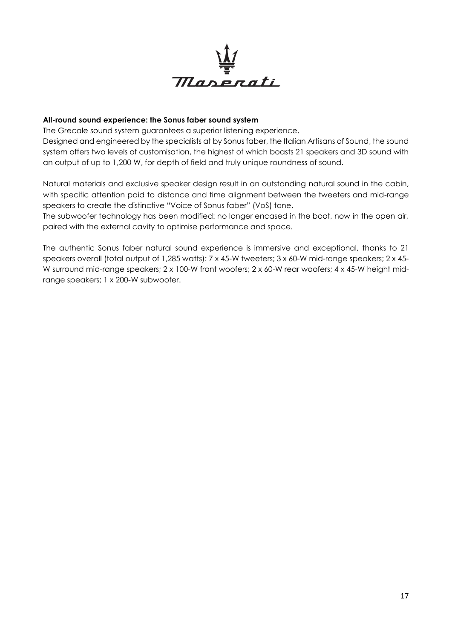

#### **All-round sound experience: the Sonus faber sound system**

The Grecale sound system guarantees a superior listening experience.

Designed and engineered by the specialists at by Sonus faber, the Italian Artisans of Sound, the sound system offers two levels of customisation, the highest of which boasts 21 speakers and 3D sound with an output of up to 1,200 W, for depth of field and truly unique roundness of sound.

Natural materials and exclusive speaker design result in an outstanding natural sound in the cabin, with specific attention paid to distance and time alignment between the tweeters and mid-range speakers to create the distinctive "Voice of Sonus faber" (VoS) tone.

The subwoofer technology has been modified: no longer encased in the boot, now in the open air, paired with the external cavity to optimise performance and space.

The authentic Sonus faber natural sound experience is immersive and exceptional, thanks to 21 speakers overall (total output of 1,285 watts): 7 x 45-W tweeters; 3 x 60-W mid-range speakers; 2 x 45- W surround mid-range speakers; 2 x 100-W front woofers; 2 x 60-W rear woofers; 4 x 45-W height midrange speakers; 1 x 200-W subwoofer.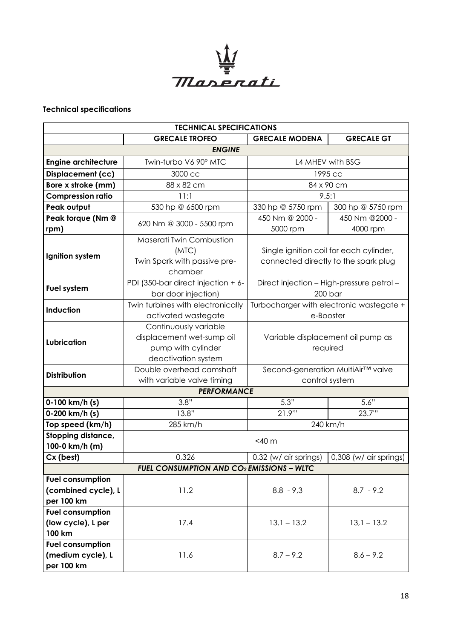

# **Technical specifications**

| <b>TECHNICAL SPECIFICATIONS</b>                              |                                                                                                 |                                                                                 |                            |  |  |  |  |
|--------------------------------------------------------------|-------------------------------------------------------------------------------------------------|---------------------------------------------------------------------------------|----------------------------|--|--|--|--|
|                                                              | <b>GRECALE TROFEO</b>                                                                           | <b>GRECALE MODENA</b>                                                           | <b>GRECALE GT</b>          |  |  |  |  |
| <b>ENGINE</b>                                                |                                                                                                 |                                                                                 |                            |  |  |  |  |
| <b>Engine architecture</b>                                   | Twin-turbo V6 90° MTC                                                                           | L4 MHEV with BSG                                                                |                            |  |  |  |  |
| <b>Displacement (cc)</b>                                     | 3000 cc                                                                                         | 1995 cc                                                                         |                            |  |  |  |  |
| Bore x stroke (mm)                                           | 88 x 82 cm                                                                                      | 84 x 90 cm                                                                      |                            |  |  |  |  |
| <b>Compression ratio</b>                                     | 11:1                                                                                            | 9.5:1                                                                           |                            |  |  |  |  |
| Peak output                                                  | 530 hp @ 6500 rpm                                                                               | 330 hp @ 5750 rpm                                                               | 300 hp @ 5750 rpm          |  |  |  |  |
| Peak torque (Nm @<br>rpm)                                    | 620 Nm @ 3000 - 5500 rpm                                                                        | 450 Nm @ 2000 -<br>5000 rpm                                                     | 450 Nm @2000 -<br>4000 rpm |  |  |  |  |
| Ignition system                                              | Maserati Twin Combustion<br>(MTC)<br>Twin Spark with passive pre-<br>chamber                    | Single ignition coil for each cylinder,<br>connected directly to the spark plug |                            |  |  |  |  |
| Fuel system                                                  | PDI (350-bar direct injection + 6-<br>bar door injection)                                       | Direct injection - High-pressure petrol -<br>$200$ bar                          |                            |  |  |  |  |
| Induction                                                    | Twin turbines with electronically<br>activated wastegate                                        | Turbocharger with electronic wastegate +<br>e-Booster                           |                            |  |  |  |  |
| Lubrication                                                  | Continuously variable<br>displacement wet-sump oil<br>pump with cylinder<br>deactivation system | Variable displacement oil pump as<br>required                                   |                            |  |  |  |  |
| Distribution                                                 | Double overhead camshaft<br>with variable valve timing                                          | Second-generation MultiAir™ valve<br>control system                             |                            |  |  |  |  |
|                                                              | <b>PERFORMANCE</b>                                                                              |                                                                                 |                            |  |  |  |  |
| 0-100 km/h (s)                                               | 3.8"                                                                                            | 5.3"                                                                            | 5.6"                       |  |  |  |  |
| 0-200 km/h (s)                                               | 13.8"                                                                                           | 21.9"                                                                           | 23.7"                      |  |  |  |  |
| Top speed (km/h)                                             | 285 km/h                                                                                        | 240 km/h                                                                        |                            |  |  |  |  |
| Stopping distance,<br>100-0 km/h (m)                         | $<$ 40 $m$                                                                                      |                                                                                 |                            |  |  |  |  |
| Cx (best)                                                    | 0,326                                                                                           | 0.32 (w/ air springs)                                                           | 0,308 (w/ air springs)     |  |  |  |  |
|                                                              | <b>FUEL CONSUMPTION AND CO<sub>2</sub> EMISSIONS - WLTC</b>                                     |                                                                                 |                            |  |  |  |  |
| <b>Fuel consumption</b><br>(combined cycle), L<br>per 100 km | 11.2                                                                                            | $8.8 - 9.3$                                                                     | $8.7 - 9.2$                |  |  |  |  |
| <b>Fuel consumption</b><br>(low cycle), L per<br>100 km      | 17.4                                                                                            | $13.1 - 13.2$                                                                   | $13,1 - 13.2$              |  |  |  |  |
| <b>Fuel consumption</b><br>(medium cycle), L<br>per 100 km   | 11.6                                                                                            | $8.7 - 9.2$                                                                     | $8.6 - 9.2$                |  |  |  |  |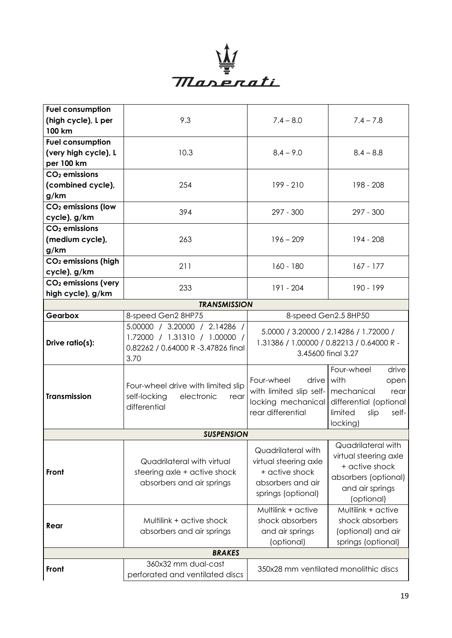

| <b>Fuel consumption</b>         |                                                                                                              |                                                                                                           |                                                                                                                                  |  |  |  |
|---------------------------------|--------------------------------------------------------------------------------------------------------------|-----------------------------------------------------------------------------------------------------------|----------------------------------------------------------------------------------------------------------------------------------|--|--|--|
| (high cycle), L per             | 9.3                                                                                                          | $7.4 - 8.0$                                                                                               | $7.4 - 7.8$                                                                                                                      |  |  |  |
| 100 km                          |                                                                                                              |                                                                                                           |                                                                                                                                  |  |  |  |
| <b>Fuel consumption</b>         |                                                                                                              |                                                                                                           |                                                                                                                                  |  |  |  |
| (very high cycle), L            | 10.3                                                                                                         | $8.4 - 9.0$                                                                                               | $8.4 - 8.8$                                                                                                                      |  |  |  |
| per 100 km                      |                                                                                                              |                                                                                                           |                                                                                                                                  |  |  |  |
| $CO2$ emissions                 |                                                                                                              |                                                                                                           |                                                                                                                                  |  |  |  |
| (combined cycle),               | 254                                                                                                          | 199 - 210                                                                                                 | 198 - 208                                                                                                                        |  |  |  |
| g/km                            |                                                                                                              |                                                                                                           |                                                                                                                                  |  |  |  |
| CO <sub>2</sub> emissions (low  |                                                                                                              |                                                                                                           |                                                                                                                                  |  |  |  |
| cycle), g/km                    | 394                                                                                                          | $297 - 300$                                                                                               | $297 - 300$                                                                                                                      |  |  |  |
| $CO2$ emissions                 |                                                                                                              |                                                                                                           |                                                                                                                                  |  |  |  |
| (medium cycle),                 | 263                                                                                                          | $196 - 209$                                                                                               | 194 - 208                                                                                                                        |  |  |  |
| $g$ /km                         |                                                                                                              |                                                                                                           |                                                                                                                                  |  |  |  |
| CO <sub>2</sub> emissions (high |                                                                                                              |                                                                                                           |                                                                                                                                  |  |  |  |
| cycle), g/km                    | 211                                                                                                          | $160 - 180$                                                                                               | $167 - 177$                                                                                                                      |  |  |  |
| CO <sub>2</sub> emissions (very | 233                                                                                                          | 191 - 204                                                                                                 | 190 - 199                                                                                                                        |  |  |  |
| high cycle), g/km               |                                                                                                              |                                                                                                           |                                                                                                                                  |  |  |  |
| <b>TRANSMISSION</b>             |                                                                                                              |                                                                                                           |                                                                                                                                  |  |  |  |
| Gearbox                         | 8-speed Gen2 8HP75                                                                                           | 8-speed Gen2.5 8HP50                                                                                      |                                                                                                                                  |  |  |  |
| Drive ratio(s):                 | 5.00000 / 3.20000 / 2.14286 /<br>1.72000 / 1.31310 / 1.00000 /<br>0.82262 / 0.64000 R -3.47826 final<br>3.70 | 5.0000 / 3.20000 / 2.14286 / 1.72000 /<br>1.31386 / 1.00000 / 0.82213 / 0.64000 R -<br>3.45600 final 3.27 |                                                                                                                                  |  |  |  |
| <b>Transmission</b>             | Four-wheel drive with limited slip<br>self-locking<br>electronic<br>rear<br>differential                     | drive<br>Four-wheel<br>with limited slip self-   mechanical<br>rear differential                          | Four-wheel<br>drive<br>with<br>open<br>rear<br>locking mechanical differential (optional<br>limited<br>slip<br>self-<br>locking) |  |  |  |
| <b>SUSPENSION</b>               |                                                                                                              |                                                                                                           |                                                                                                                                  |  |  |  |
| Front                           | Quadrilateral with virtual<br>steering axle + active shock<br>absorbers and air springs                      | Quadrilateral with<br>virtual steering axle<br>+ active shock<br>absorbers and air<br>springs (optional)  | Quadrilateral with<br>virtual steering axle<br>+ active shock<br>absorbers (optional)<br>and air springs<br>(optional)           |  |  |  |
| Rear                            | Multilink + active shock<br>absorbers and air springs                                                        | Multilink + active<br>shock absorbers<br>and air springs<br>(optional)                                    | Multilink + active<br>shock absorbers<br>(optional) and air<br>springs (optional)                                                |  |  |  |
| <b>BRAKES</b>                   |                                                                                                              |                                                                                                           |                                                                                                                                  |  |  |  |
| Front                           | 360x32 mm dual-cast<br>perforated and ventilated discs                                                       | 350x28 mm ventilated monolithic discs                                                                     |                                                                                                                                  |  |  |  |